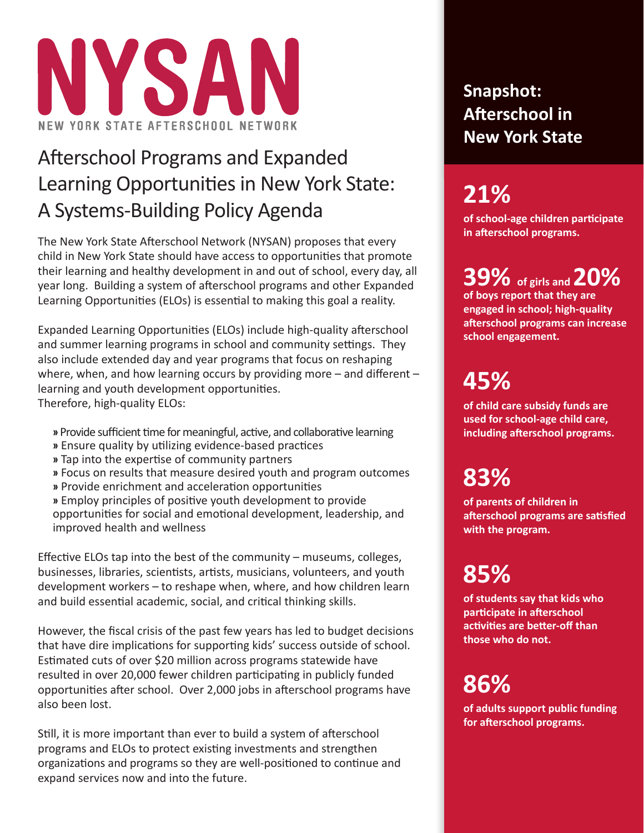

## Afterschool Programs and Expanded Learning Opportunities in New York State: A Systems-Building Policy Agenda

The New York State Afterschool Network (NYSAN) proposes that every child in New York State should have access to opportunities that promote their learning and healthy development in and out of school, every day, all year long. Building a system of afterschool programs and other Expanded Learning Opportunities (ELOs) is essential to making this goal a reality.

Expanded Learning Opportunities (ELOs) include high-quality afterschool and summer learning programs in school and community settings. They also include extended day and year programs that focus on reshaping where, when, and how learning occurs by providing more  $-$  and different  $$ learning and youth development opportunities. Therefore, high-quality ELOs:

- » Provide sufficient time for meaningful, active, and collaborative learning
- » Ensure quality by utilizing evidence-based practices
- » Tap into the expertise of community partners
- **»** Focus on results that measure desired youth and program outcomes
- » Provide enrichment and acceleration opportunities

» Employ principles of positive youth development to provide opportunities for social and emotional development, leadership, and improved health and wellness

Effective ELOs tap into the best of the community  $-$  museums, colleges, businesses, libraries, scientists, artists, musicians, volunteers, and youth development workers – to reshape when, where, and how children learn and build essential academic, social, and critical thinking skills.

However, the fiscal crisis of the past few years has led to budget decisions that have dire implications for supporting kids' success outside of school. Estimated cuts of over \$20 million across programs statewide have resulted in over 20,000 fewer children participating in publicly funded opportunities after school. Over 2,000 jobs in afterschool programs have also been lost.

Still, it is more important than ever to build a system of afterschool programs and ELOs to protect existing investments and strengthen organizations and programs so they are well-positioned to continue and expand services now and into the future.

### **Snapshot: Aft erschool in New York State**

## **21%**

**of school-age children parti cipate in aft erschool programs.**

# **39% of girls and 20%**

**of boys report that they are engaged in school; high-quality aft erschool programs can increase school engagement.**

## **45%**

**of child care subsidy funds are used for school-age child care, including aft erschool programs.**

## **83%**

**of parents of children in aft erschool programs are sati sfi ed with the program.**

# **85%**

**of students say that kids who parti cipate in aft erschool acti viti es are bett er-off than those who do not.**

# **86%**

**of adults support public funding for aft erschool programs.**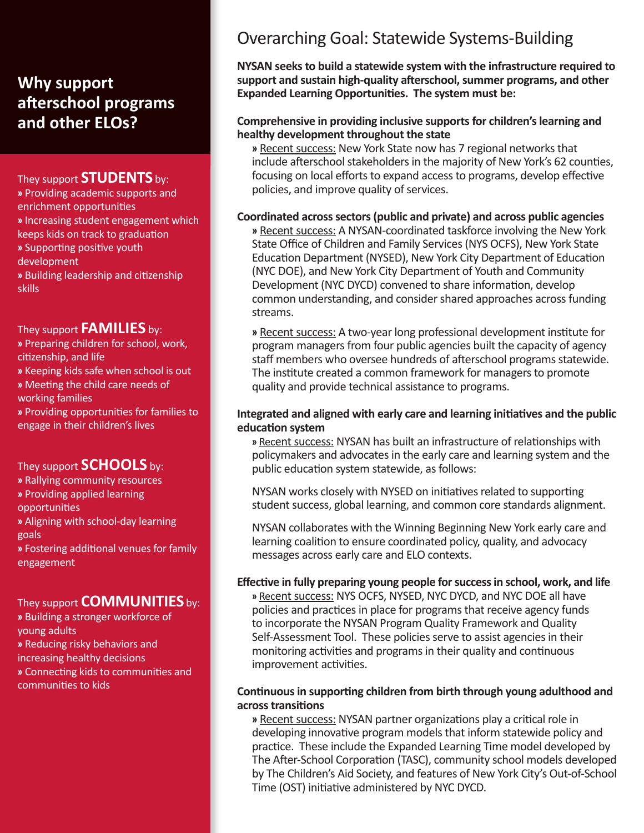### **Why support aft erschool programs and other ELOs?**

### They support **STUDENTS** by:

**»** Providing academic supports and enrichment opportunities **»** Increasing student engagement which keeps kids on track to graduation **»** Supporti ng positi ve youth development **»** Building leadership and citi zenship skills

#### They support **FAMILIES** by:

**»** Preparing children for school, work, citizenship, and life

**»** Keeping kids safe when school is out

**»** Meeti ng the child care needs of working families

» Providing opportunities for families to engage in their children's lives

#### They support **SCHOOLS** by:

**»** Rallying community resources

**»** Providing applied learning

opportunities

**»** Aligning with school-day learning goals

» Fostering additional venues for family engagement

### They support **COMMUNITIES** by:

**»** Building a stronger workforce of young adults **»** Reducing risky behaviors and increasing healthy decisions **»** Connecti ng kids to communiti es and communities to kids

### Overarching Goal: Statewide Systems-Building

**NYSAN seeks to build a statewide system with the infrastructure required to support and sustain high-quality aft erschool, summer programs, and other Expanded Learning Opportunities. The system must be:** 

#### **Comprehensive in providing inclusive supports for children's learning and healthy development throughout the state**

**»** Recent success: New York State now has 7 regional networks that include afterschool stakeholders in the majority of New York's 62 counties, focusing on local efforts to expand access to programs, develop effective policies, and improve quality of services.

#### **Coordinated across sectors (public and private) and across public agencies**

**»** Recent success: A NYSAN-coordinated taskforce involving the New York State Office of Children and Family Services (NYS OCFS), New York State Education Department (NYSED), New York City Department of Education (NYC DOE), and New York City Department of Youth and Community Development (NYC DYCD) convened to share information, develop common understanding, and consider shared approaches across funding streams.

» Recent success: A two-year long professional development institute for program managers from four public agencies built the capacity of agency staff members who oversee hundreds of afterschool programs statewide. The institute created a common framework for managers to promote quality and provide technical assistance to programs.

#### **Integrated and aligned with early care and learning initi ati ves and the public educati on system**

» Recent success: NYSAN has built an infrastructure of relationships with policymakers and advocates in the early care and learning system and the public education system statewide, as follows:

NYSAN works closely with NYSED on initiatives related to supporting student success, global learning, and common core standards alignment.

NYSAN collaborates with the Winning Beginning New York early care and learning coalition to ensure coordinated policy, quality, and advocacy messages across early care and ELO contexts.

#### **Eff ecti ve in fully preparing young people for success in school, work, and life**

**»** Recent success: NYS OCFS, NYSED, NYC DYCD, and NYC DOE all have policies and practices in place for programs that receive agency funds to incorporate the NYSAN Program Quality Framework and Quality Self-Assessment Tool. These policies serve to assist agencies in their monitoring activities and programs in their quality and continuous improvement activities.

#### **Conti nuous in supporti ng children from birth through young adulthood and across transiti ons**

» Recent success: NYSAN partner organizations play a critical role in developing innovative program models that inform statewide policy and practice. These include the Expanded Learning Time model developed by The After-School Corporation (TASC), community school models developed by The Children's Aid Society, and features of New York City's Out-of-School Time (OST) initiative administered by NYC DYCD.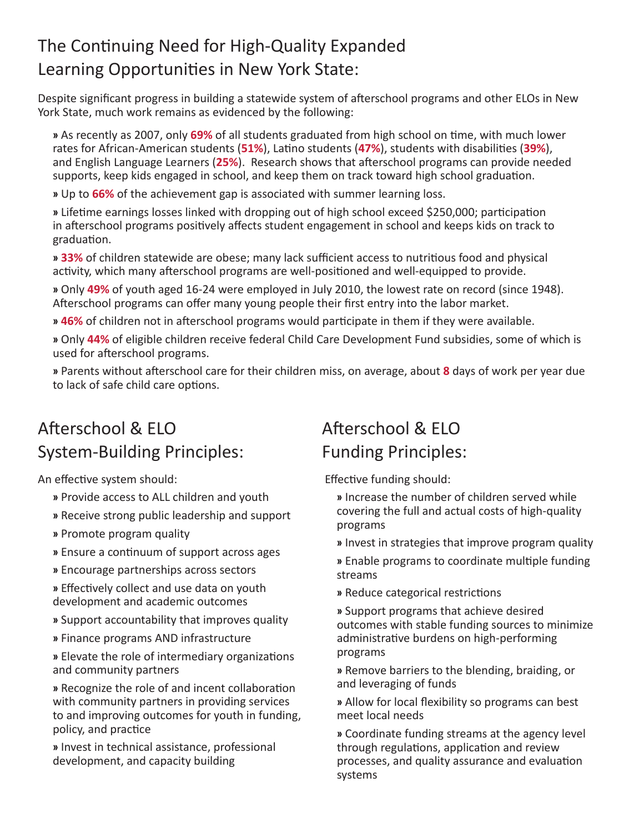### The Continuing Need for High-Quality Expanded Learning Opportunities in New York State:

Despite significant progress in building a statewide system of afterschool programs and other ELOs in New York State, much work remains as evidenced by the following:

» As recently as 2007, only 69% of all students graduated from high school on time, with much lower rates for African-American students (51%), Latino students (47%), students with disabilities (39%), and English Language Learners (25%). Research shows that afterschool programs can provide needed supports, keep kids engaged in school, and keep them on track toward high school graduation.

**»** Up to **66%** of the achievement gap is associated with summer learning loss.

» Lifetime earnings losses linked with dropping out of high school exceed \$250,000; participation in afterschool programs positively affects student engagement in school and keeps kids on track to graduation.

**» 33%** of children statewide are obese; many lack sufficient access to nutritious food and physical activity, which many afterschool programs are well-positioned and well-equipped to provide.

**»** Only **49%** of youth aged 16-24 were employed in July 2010, the lowest rate on record (since 1948). Afterschool programs can offer many young people their first entry into the labor market.

**» 46%** of children not in afterschool programs would participate in them if they were available.

**»** Only **44%** of eligible children receive federal Child Care Development Fund subsidies, some of which is used for afterschool programs.

**»** Parents without aft erschool care for their children miss, on average, about **8** days of work per year due to lack of safe child care options.

### Afterschool & ELO System-Building Principles:

An effective system should:

- **»** Provide access to ALL children and youth
- **»** Receive strong public leadership and support
- **»** Promote program quality
- **»** Ensure a conti nuum of support across ages
- **»** Encourage partnerships across sectors

» Effectively collect and use data on youth development and academic outcomes

- **»** Support accountability that improves quality
- **»** Finance programs AND infrastructure

» Elevate the role of intermediary organizations and community partners

» Recognize the role of and incent collaboration with community partners in providing services to and improving outcomes for youth in funding, policy, and practice

**»** Invest in technical assistance, professional development, and capacity building

### Aft erschool & ELO Funding Principles:

Effective funding should:

- **»** Increase the number of children served while covering the full and actual costs of high-quality programs
- **»** Invest in strategies that improve program quality
- » Enable programs to coordinate multiple funding streams
- » Reduce categorical restrictions

**»** Support programs that achieve desired outcomes with stable funding sources to minimize administrative burdens on high-performing programs

**»** Remove barriers to the blending, braiding, or and leveraging of funds

» Allow for local flexibility so programs can best meet local needs

**»** Coordinate funding streams at the agency level through regulations, application and review processes, and quality assurance and evaluation systems